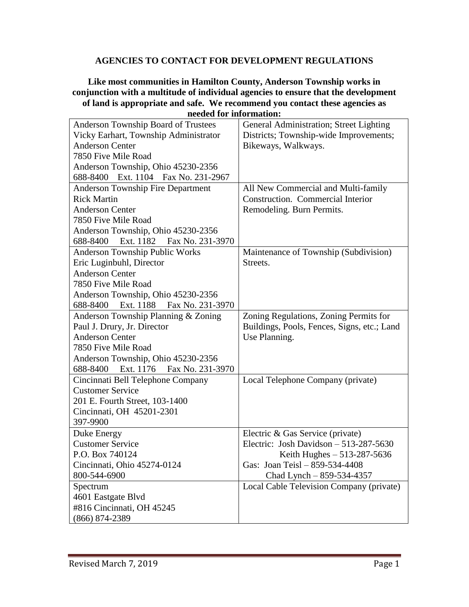## **AGENCIES TO CONTACT FOR DEVELOPMENT REGULATIONS**

## **Like most communities in Hamilton County, Anderson Township works in conjunction with a multitude of individual agencies to ensure that the development of land is appropriate and safe. We recommend you contact these agencies as needed for information:**

| Anderson Township Board of Trustees      | General Administration; Street Lighting     |
|------------------------------------------|---------------------------------------------|
| Vicky Earhart, Township Administrator    | Districts; Township-wide Improvements;      |
| <b>Anderson Center</b>                   | Bikeways, Walkways.                         |
| 7850 Five Mile Road                      |                                             |
| Anderson Township, Ohio 45230-2356       |                                             |
| 688-8400 Ext. 1104 Fax No. 231-2967      |                                             |
| <b>Anderson Township Fire Department</b> | All New Commercial and Multi-family         |
| <b>Rick Martin</b>                       | Construction. Commercial Interior           |
| <b>Anderson Center</b>                   | Remodeling. Burn Permits.                   |
| 7850 Five Mile Road                      |                                             |
| Anderson Township, Ohio 45230-2356       |                                             |
| 688-8400 Ext. 1182 Fax No. 231-3970      |                                             |
| Anderson Township Public Works           | Maintenance of Township (Subdivision)       |
| Eric Luginbuhl, Director                 | Streets.                                    |
| <b>Anderson Center</b>                   |                                             |
| 7850 Five Mile Road                      |                                             |
| Anderson Township, Ohio 45230-2356       |                                             |
| 688-8400 Ext. 1188<br>Fax No. 231-3970   |                                             |
| Anderson Township Planning & Zoning      | Zoning Regulations, Zoning Permits for      |
| Paul J. Drury, Jr. Director              | Buildings, Pools, Fences, Signs, etc.; Land |
| <b>Anderson Center</b>                   | Use Planning.                               |
| 7850 Five Mile Road                      |                                             |
| Anderson Township, Ohio 45230-2356       |                                             |
| 688-8400 Ext. 1176 Fax No. 231-3970      |                                             |
| Cincinnati Bell Telephone Company        | Local Telephone Company (private)           |
| <b>Customer Service</b>                  |                                             |
| 201 E. Fourth Street, 103-1400           |                                             |
| Cincinnati, OH 45201-2301                |                                             |
| 397-9900                                 |                                             |
| Duke Energy                              | Electric & Gas Service (private)            |
| <b>Customer Service</b>                  | Electric: Josh Davidson $-513-287-5630$     |
| P.O. Box 740124                          | Keith Hughes $-513-287-5636$                |
| Cincinnati, Ohio 45274-0124              | Gas: Joan Teisl - 859-534-4408              |
| 800-544-6900                             | Chad Lynch $-859-534-4357$                  |
| Spectrum                                 | Local Cable Television Company (private)    |
| 4601 Eastgate Blvd                       |                                             |
| #816 Cincinnati, OH 45245                |                                             |
| $(866) 874 - 2389$                       |                                             |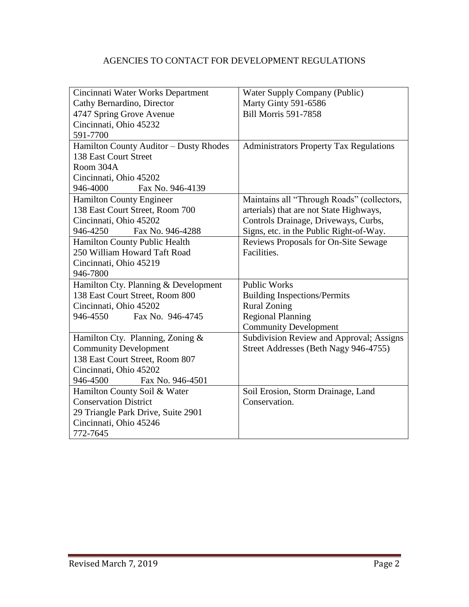## AGENCIES TO CONTACT FOR DEVELOPMENT REGULATIONS

| Cincinnati Water Works Department      | <b>Water Supply Company (Public)</b>           |
|----------------------------------------|------------------------------------------------|
| Cathy Bernardino, Director             | Marty Ginty 591-6586                           |
| 4747 Spring Grove Avenue               | <b>Bill Morris 591-7858</b>                    |
| Cincinnati, Ohio 45232                 |                                                |
| 591-7700                               |                                                |
| Hamilton County Auditor - Dusty Rhodes | <b>Administrators Property Tax Regulations</b> |
| 138 East Court Street                  |                                                |
| Room 304A                              |                                                |
| Cincinnati, Ohio 45202                 |                                                |
| 946-4000<br>Fax No. 946-4139           |                                                |
| <b>Hamilton County Engineer</b>        | Maintains all "Through Roads" (collectors,     |
| 138 East Court Street, Room 700        | arterials) that are not State Highways,        |
| Cincinnati, Ohio 45202                 | Controls Drainage, Driveways, Curbs,           |
| 946-4250<br>Fax No. 946-4288           | Signs, etc. in the Public Right-of-Way.        |
| <b>Hamilton County Public Health</b>   | Reviews Proposals for On-Site Sewage           |
| 250 William Howard Taft Road           | Facilities.                                    |
| Cincinnati, Ohio 45219                 |                                                |
| 946-7800                               |                                                |
| Hamilton Cty. Planning & Development   | <b>Public Works</b>                            |
| 138 East Court Street, Room 800        | <b>Building Inspections/Permits</b>            |
| Cincinnati, Ohio 45202                 | <b>Rural Zoning</b>                            |
| Fax No. 946-4745<br>946-4550           | <b>Regional Planning</b>                       |
|                                        | <b>Community Development</b>                   |
| Hamilton Cty. Planning, Zoning &       | Subdivision Review and Approval; Assigns       |
| <b>Community Development</b>           | Street Addresses (Beth Nagy 946-4755)          |
| 138 East Court Street, Room 807        |                                                |
| Cincinnati, Ohio 45202                 |                                                |
| Fax No. 946-4501<br>946-4500           |                                                |
| Hamilton County Soil & Water           | Soil Erosion, Storm Drainage, Land             |
| <b>Conservation District</b>           | Conservation.                                  |
| 29 Triangle Park Drive, Suite 2901     |                                                |
| Cincinnati, Ohio 45246                 |                                                |
| 772-7645                               |                                                |